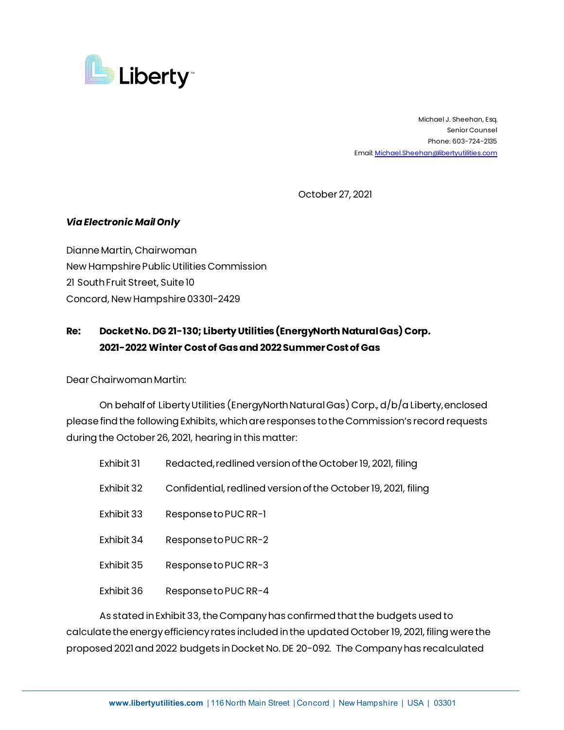

 Michael J. Sheehan, Esq. Senior Counsel Phone: 603-724-2135 Email: [Michael.Sheehan@libertyutilities.com](mailto:Michael.Sheehan@libertyutilities.com)

October 27, 2021

## *Via Electronic Mail Only*

Dianne Martin, Chairwoman New Hampshire Public Utilities Commission 21 South Fruit Street, Suite 10 Concord, New Hampshire 03301-2429

## **Re: Docket No. DG 21-130; Liberty Utilities (EnergyNorth Natural Gas) Corp. 2021-2022 Winter Cost of Gasand 2022 Summer Cost of Gas**

Dear Chairwoman Martin:

On behalf of Liberty Utilities (EnergyNorth Natural Gas) Corp., d/b/a Liberty, enclosed please find the following Exhibits, which are responses to the Commission's record requests during the October 26, 2021, hearing in this matter:

| Exhibit 31 | Redacted, redlined version of the October 19, 2021, filing     |
|------------|----------------------------------------------------------------|
| Exhibit 32 | Confidential, redlined version of the October 19, 2021, filing |
| Exhibit 33 | Response to PUC RR-1                                           |
| Exhibit 34 | Response to PUC RR-2                                           |
| Exhibit 35 | Response to PUC RR-3                                           |
| Exhibit 36 | Response to PUC RR-4                                           |
|            |                                                                |

As stated in Exhibit 33, the Company has confirmed that the budgets used to calculate the energy efficiency rates included in the updated October 19, 2021, filing were the proposed 2021 and 2022 budgets in Docket No. DE 20-092. The Company has recalculated